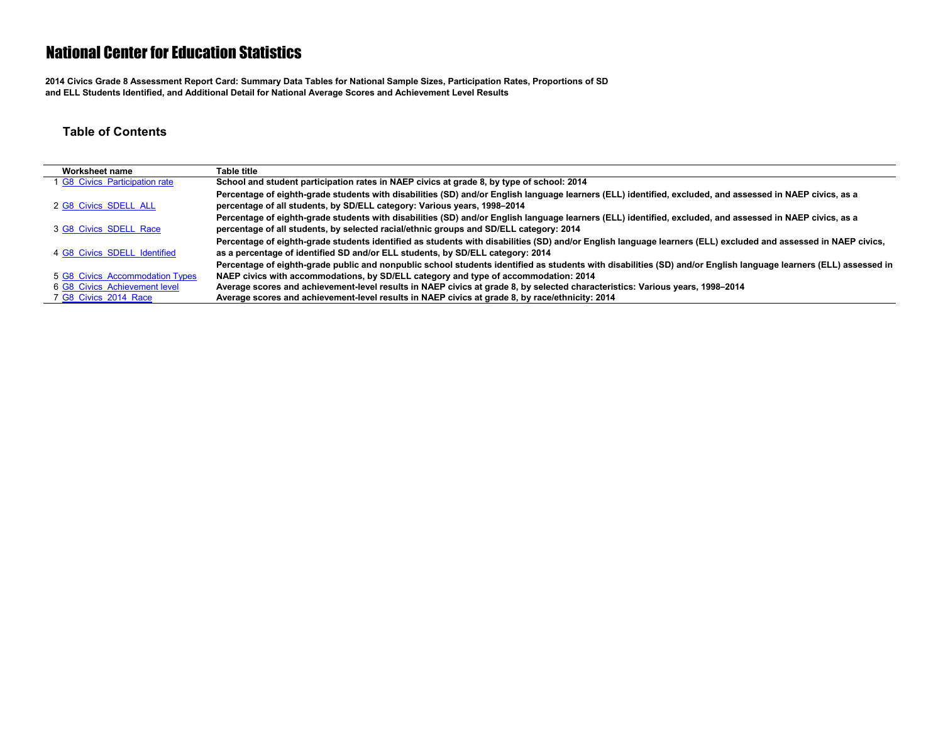**2014 Civics Grade 8 Assessment Report Card: Summary Data Tables for National Sample Sizes, Participation Rates, Proportions of SD and ELL Students Identified, and Additional Detail for National Average Scores and Achievement Level Results**

#### **Table of Contents**

| Worksheet name                  | Table title                                                                                                                                                      |
|---------------------------------|------------------------------------------------------------------------------------------------------------------------------------------------------------------|
| 1 G8 Civics Participation rate  | School and student participation rates in NAEP civics at grade 8, by type of school: 2014                                                                        |
|                                 | Percentage of eighth-grade students with disabilities (SD) and/or English language learners (ELL) identified, excluded, and assessed in NAEP civics, as a        |
| 2 G8 Civics SDELL ALL           | percentage of all students, by SD/ELL category: Various years, 1998–2014                                                                                         |
|                                 | Percentage of eighth-grade students with disabilities (SD) and/or English language learners (ELL) identified, excluded, and assessed in NAEP civics, as a        |
| 3 G8 Civics SDELL Race          | percentage of all students, by selected racial/ethnic groups and SD/ELL category: 2014                                                                           |
|                                 | Percentage of eighth-grade students identified as students with disabilities (SD) and/or English language learners (ELL) excluded and assessed in NAEP civics,   |
| 4 G8 Civics SDELL Identified    | as a percentage of identified SD and/or ELL students, by SD/ELL category: 2014                                                                                   |
|                                 | Percentage of eighth-grade public and nonpublic school students identified as students with disabilities (SD) and/or English language learners (ELL) assessed in |
| 5 G8 Civics Accommodation Types | NAEP civics with accommodations, by SD/ELL category and type of accommodation: 2014                                                                              |
| 6 G8 Civics Achievement level   | Average scores and achievement-level results in NAEP civics at grade 8, by selected characteristics: Various years, 1998-2014                                    |
| 7 G8 Civics 2014 Race           | Average scores and achievement-level results in NAEP civics at grade 8, by race/ethnicity: 2014                                                                  |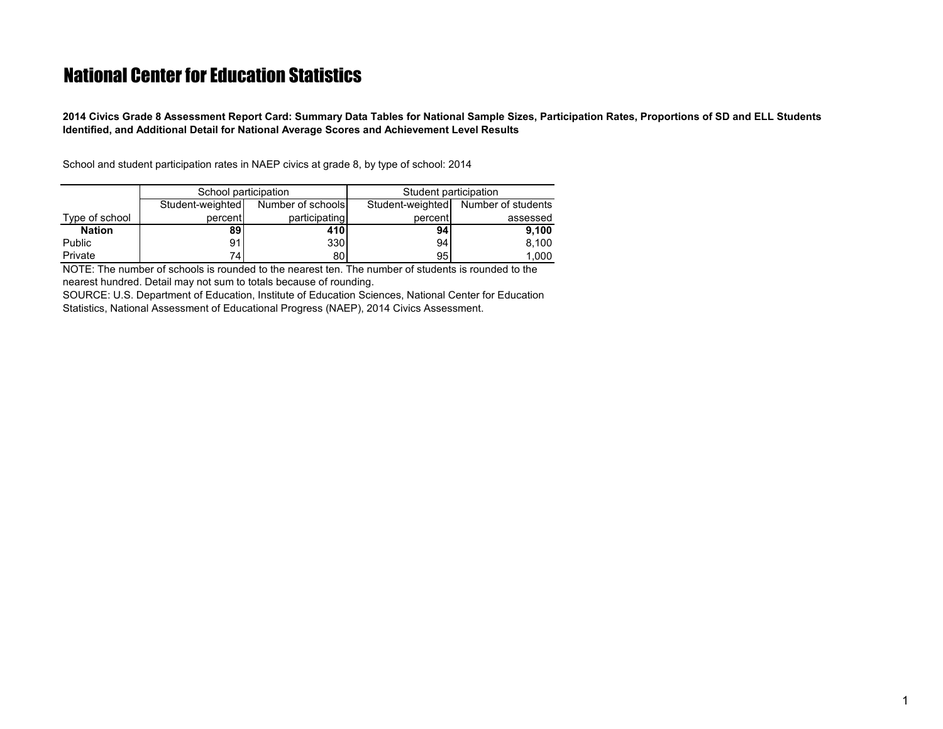<span id="page-1-0"></span>**2014 Civics Grade 8 Assessment Report Card: Summary Data Tables for National Sample Sizes, Participation Rates, Proportions of SD and ELL Students Identified, and Additional Detail for National Average Scores and Achievement Level Results**

School and student participation rates in NAEP civics at grade 8, by type of school: 2014

|                | School participation |                   | Student participation |                    |  |  |  |
|----------------|----------------------|-------------------|-----------------------|--------------------|--|--|--|
|                | Student-weighted     | Number of schools | Student-weighted      | Number of students |  |  |  |
| Type of school | percent              | participating     | percent               | assessed           |  |  |  |
| <b>Nation</b>  | 89                   | 410               | 94                    | 9.100              |  |  |  |
| Public         | 91                   | 330I              | 941                   | 8,100              |  |  |  |
| Private        | 74                   | 80 l              | 95                    | 1.000              |  |  |  |

NOTE: The number of schools is rounded to the nearest ten. The number of students is rounded to the nearest hundred. Detail may not sum to totals because of rounding.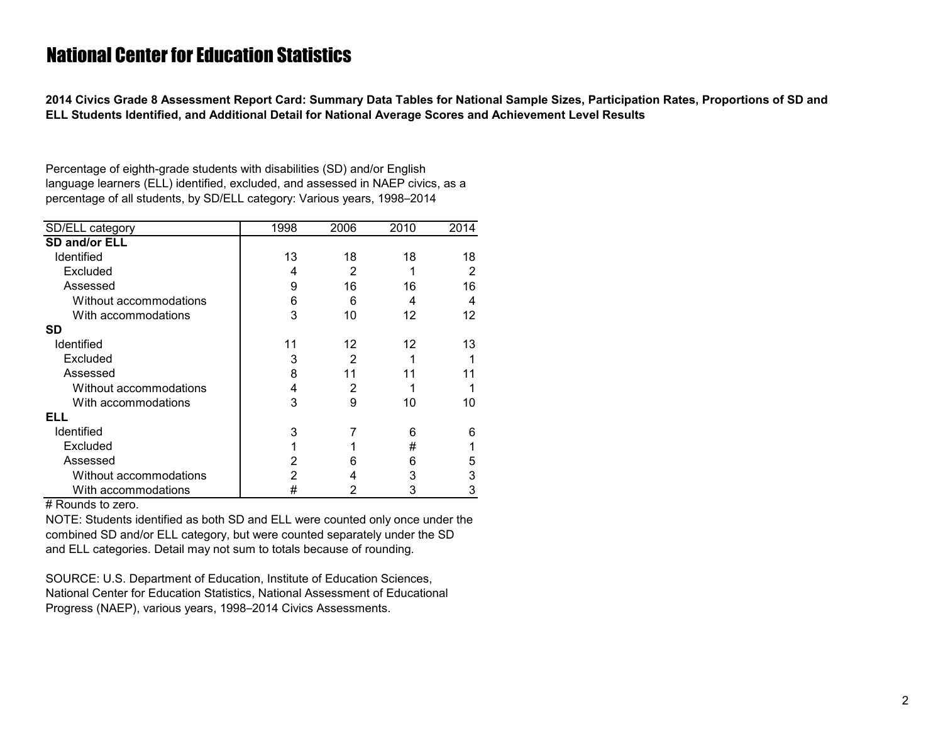<span id="page-2-0"></span>**2014 Civics Grade 8 Assessment Report Card: Summary Data Tables for National Sample Sizes, Participation Rates, Proportions of SD and ELL Students Identified, and Additional Detail for National Average Scores and Achievement Level Results**

Percentage of eighth-grade students with disabilities (SD) and/or English language learners (ELL) identified, excluded, and assessed in NAEP civics, as a percentage of all students, by SD/ELL category: Various years, 1998–2014

| SD/ELL category        | 1998 | 2006 | 2010 | 2014 |
|------------------------|------|------|------|------|
| <b>SD and/or ELL</b>   |      |      |      |      |
| Identified             | 13   | 18   | 18   | 18   |
| Excluded               | 4    | 2    |      | 2    |
| Assessed               | 9    | 16   | 16   | 16   |
| Without accommodations | 6    | 6    | 4    | 4    |
| With accommodations    | 3    | 10   | 12   | 12   |
| <b>SD</b>              |      |      |      |      |
| <b>Identified</b>      | 11   | 12   | 12   | 13   |
| Excluded               | 3    | 2    |      |      |
| Assessed               | 8    | 11   | 11   |      |
| Without accommodations | 4    | 2    |      |      |
| With accommodations    | 3    | 9    | 10   | 10   |
| ELL                    |      |      |      |      |
| <b>Identified</b>      | 3    | 7    | 6    | 6    |
| Excluded               | 1    |      | #    |      |
| Assessed               | 2    | 6    | 6    | 5    |
| Without accommodations | 2    | 4    | 3    | 3    |
| With accommodations    | #    | 2    | 3    | 3    |

# Rounds to zero.

NOTE: Students identified as both SD and ELL were counted only once under the combined SD and/or ELL category, but were counted separately under the SD and ELL categories. Detail may not sum to totals because of rounding.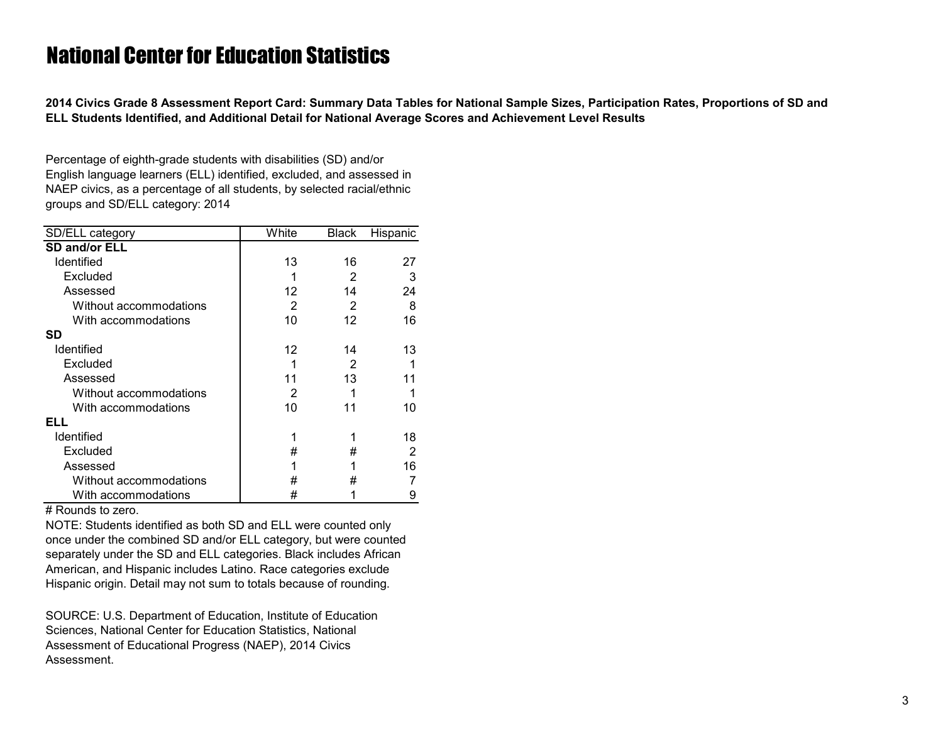<span id="page-3-0"></span>**2014 Civics Grade 8 Assessment Report Card: Summary Data Tables for National Sample Sizes, Participation Rates, Proportions of SD and ELL Students Identified, and Additional Detail for National Average Scores and Achievement Level Results**

Percentage of eighth-grade students with disabilities (SD) and/or English language learners (ELL) identified, excluded, and assessed in NAEP civics, as a percentage of all students, by selected racial/ethnic groups and SD/ELL category: 2014

| SD/ELL category        | White | <b>Black</b> | Hispanic |
|------------------------|-------|--------------|----------|
| <b>SD and/or ELL</b>   |       |              |          |
| Identified             | 13    | 16           | 27       |
| Excluded               |       | 2            | 3        |
| Assessed               | 12    | 14           | 24       |
| Without accommodations | 2     | 2            | 8        |
| With accommodations    | 10    | 12           | 16       |
| <b>SD</b>              |       |              |          |
| <b>Identified</b>      | 12    | 14           | 13       |
| Excluded               |       | 2            |          |
| Assessed               | 11    | 13           | 11       |
| Without accommodations | 2     |              |          |
| With accommodations    | 10    | 11           | 10       |
| ELL                    |       |              |          |
| Identified             |       |              | 18       |
| Excluded               | #     | #            | 2        |
| Assessed               |       |              | 16       |
| Without accommodations | #     | #            |          |
| With accommodations    | #     |              | 9        |

# Rounds to zero.

NOTE: Students identified as both SD and ELL were counted only once under the combined SD and/or ELL category, but were counted separately under the SD and ELL categories. Black includes African American, and Hispanic includes Latino. Race categories exclude Hispanic origin. Detail may not sum to totals because of rounding.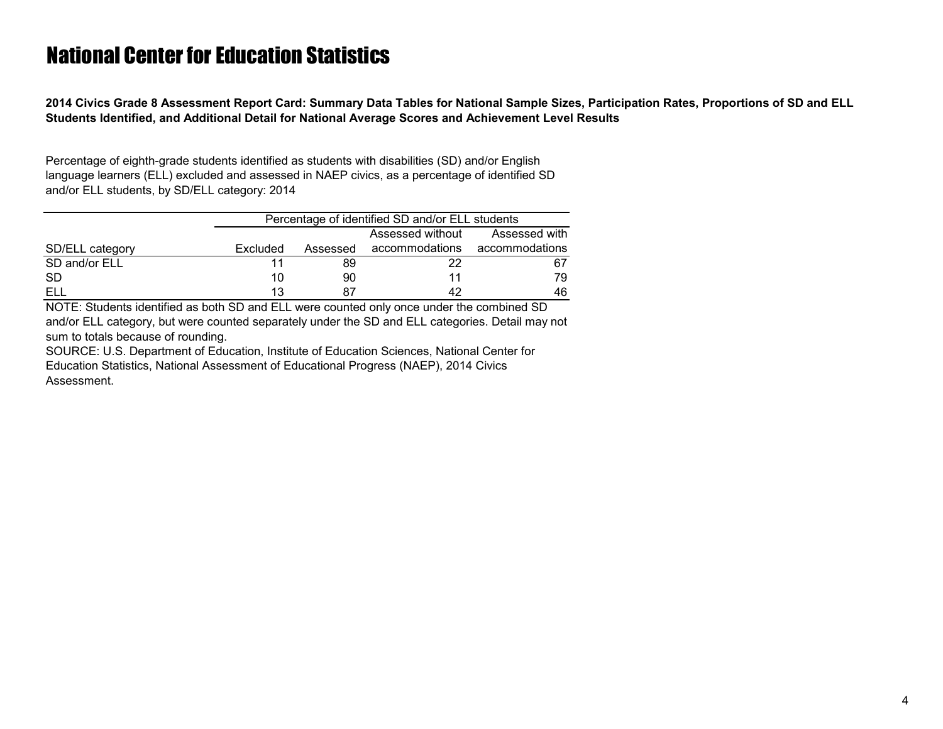<span id="page-4-0"></span>**2014 Civics Grade 8 Assessment Report Card: Summary Data Tables for National Sample Sizes, Participation Rates, Proportions of SD and ELL Students Identified, and Additional Detail for National Average Scores and Achievement Level Results**

Percentage of eighth-grade students identified as students with disabilities (SD) and/or English language learners (ELL) excluded and assessed in NAEP civics, as a percentage of identified SD and/or ELL students, by SD/ELL category: 2014

|                 | Percentage of identified SD and/or ELL students |               |                |                |  |  |  |
|-----------------|-------------------------------------------------|---------------|----------------|----------------|--|--|--|
|                 |                                                 | Assessed with |                |                |  |  |  |
| SD/ELL category | Excluded                                        | Assessed      | accommodations | accommodations |  |  |  |
| SD and/or ELL   |                                                 | 89            | 22             | 67             |  |  |  |
| -SD             | 10                                              | 90            | 11             | 79.            |  |  |  |
|                 | 13                                              |               | 42             | 46             |  |  |  |

NOTE: Students identified as both SD and ELL were counted only once under the combined SD and/or ELL category, but were counted separately under the SD and ELL categories. Detail may not sum to totals because of rounding.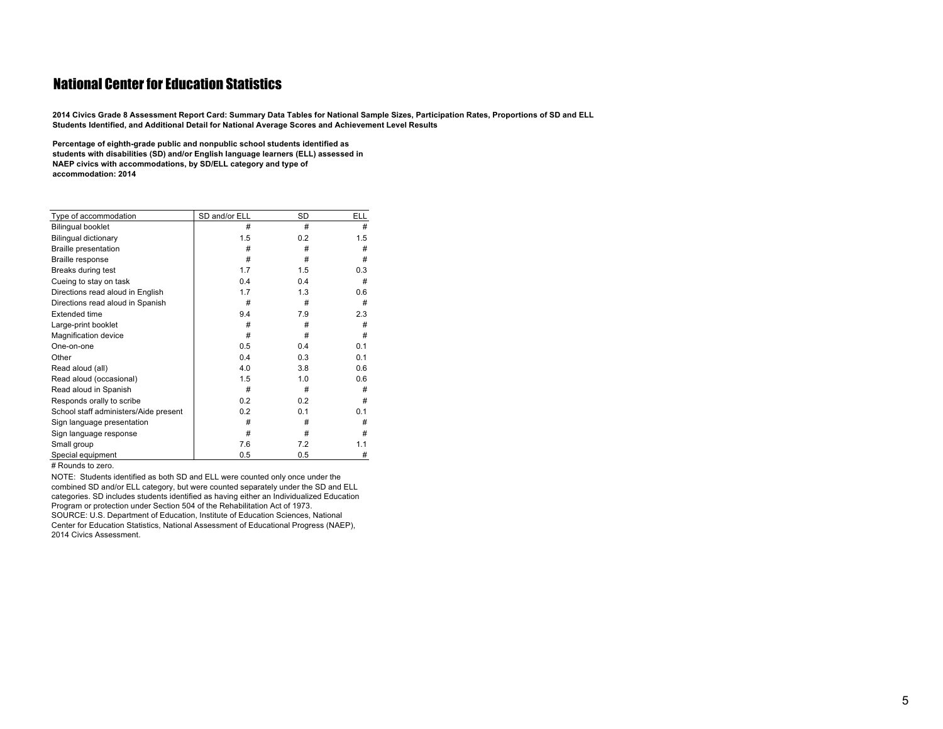<span id="page-5-0"></span>2014 Civics Grade 8 Assessment Report Card: Summary Data Tables for National Sample Sizes, Participation Rates, Proportions of SD and ELL **Students Identified, and Additional Detail for National Average Scores and Achievement Level Results**

**Percentage of eighth-grade public and nonpublic school students identified as students with disabilities (SD) and/or English language learners (ELL) assessed in NAEP civics with accommodations, by SD/ELL category and type of accommodation: <sup>2014</sup>**

| Type of accommodation                 | SD and/or ELL | SD  | <b>ELL</b> |
|---------------------------------------|---------------|-----|------------|
| <b>Bilingual booklet</b>              | #             | #   | #          |
| <b>Bilingual dictionary</b>           | 1.5           | 0.2 | 1.5        |
| <b>Braille presentation</b>           | #             | #   | #          |
| Braille response                      | #             | #   | #          |
| Breaks during test                    | 1.7           | 1.5 | 0.3        |
| Cueing to stay on task                | 0.4           | 0.4 | #          |
| Directions read aloud in English      | 1.7           | 1.3 | 0.6        |
| Directions read aloud in Spanish      | #             | #   | #          |
| <b>Extended time</b>                  | 9.4           | 7.9 | 2.3        |
| Large-print booklet                   | #             | #   | #          |
| <b>Magnification device</b>           | #             | #   | #          |
| One-on-one                            | 0.5           | 0.4 | 0.1        |
| Other                                 | 0.4           | 0.3 | 0.1        |
| Read aloud (all)                      | 4.0           | 3.8 | 0.6        |
| Read aloud (occasional)               | 1.5           | 1.0 | 0.6        |
| Read aloud in Spanish                 | #             | #   | #          |
| Responds orally to scribe             | 0.2           | 0.2 | #          |
| School staff administers/Aide present | 0.2           | 0.1 | 0.1        |
| Sign language presentation            | #             | #   | #          |
| Sign language response                | #             | #   | #          |
| Small group                           | 7.6           | 7.2 | 1.1        |
| Special equipment                     | 0.5           | 0.5 | #          |

# Rounds to zero.

NOTE: Students identified as both SD and ELL were counted only once under the combined SD and/or ELL category, but were counted separately under the SD and ELL categories. SD includes students identified as having either an Individualized Education Program or protection under Section 504 of the Rehabilitation Act of 1973. SOURCE: U.S. Department of Education, Institute of Education Sciences, National Center for Education Statistics, National Assessment of Educational Progress (NAEP), 2014 Civics Assessment.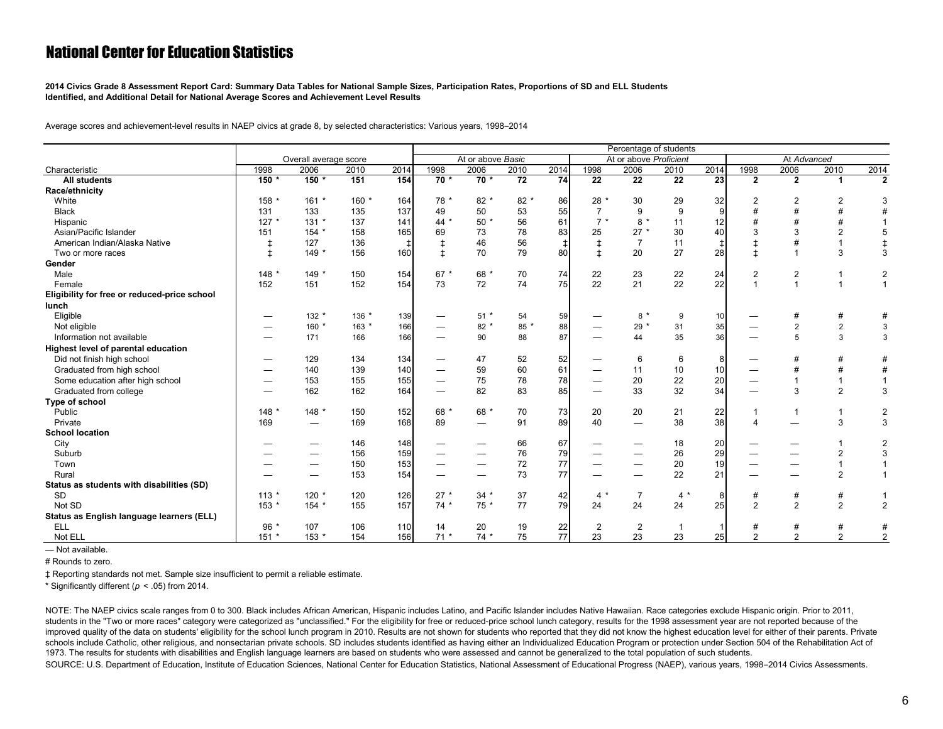<span id="page-6-0"></span>**2014 Civics Grade 8 Assessment Report Card: Summary Data Tables for National Sample Sizes, Participation Rates, Proportions of SD and ELL Students Identified, and Additional Detail for National Average Scores and Achievement Level Results**

Average scores and achievement-level results in NAEP civics at grade 8, by selected characteristics: Various years, 1998–2014

|                                              |         |                          |         |            | Percentage of students |                                |                 |                 |                |                        |                 |            |                |                |                            |                |
|----------------------------------------------|---------|--------------------------|---------|------------|------------------------|--------------------------------|-----------------|-----------------|----------------|------------------------|-----------------|------------|----------------|----------------|----------------------------|----------------|
|                                              |         | Overall average score    |         |            |                        | At or above Basic              |                 |                 |                | At or above Proficient |                 |            |                | At Advanced    |                            |                |
| Characteristic                               | 1998    | 2006                     | 2010    | 2014       | 1998                   | 2006                           | 2010            | 2014            | 1998           | 2006                   | 2010            | 2014       | 1998           | 2006           | 2010                       | 2014           |
| <b>All students</b>                          | 150 *   | $150 *$                  | 151     | 154        | $70*$                  | $70*$                          | $\overline{72}$ | $\overline{74}$ | 22             | 22                     | $\overline{22}$ | 23         | $\overline{2}$ | $\overline{2}$ | -1                         | $\overline{2}$ |
| Race/ethnicity                               |         |                          |         |            |                        |                                |                 |                 |                |                        |                 |            |                |                |                            |                |
| White                                        | 158 *   | $161 *$                  | 160 *   | 164        | 78 *                   | $82 *$                         | 82 *            | 86              | 28 *           | 30                     | 29              | 32         | $\overline{2}$ | 2              | $\overline{2}$             | 3              |
| <b>Black</b>                                 | 131     | 133                      | 135     | 137        | 49                     | 50                             | 53              | 55              | $\overline{7}$ | 9                      | 9               | 9          |                |                |                            |                |
| Hispanic                                     | $127 *$ | $131 *$                  | 137     | 141        | $44 *$                 | $50*$                          | 56              | 61              | $7 *$          | $8*$                   | 11              | 12         |                |                | $\boldsymbol{\mathcal{H}}$ |                |
| Asian/Pacific Islander                       | 151     | $154*$                   | 158     | 165        | 69                     | 73                             | 78              | 83              | 25             | $27 *$                 | 30              | 40         |                |                | $\overline{2}$             | 5              |
| American Indian/Alaska Native                | ŧ       | 127                      | 136     | $\ddagger$ | $\ddagger$             | 46                             | 56              | $\ddagger$      |                | $\overline{7}$         | 11              | $\ddagger$ |                |                |                            |                |
| Two or more races                            | $\pm$   | $149*$                   | 156     | 160        | $\pm$                  | 70                             | 79              | 80              | Ŧ.             | 20                     | 27              | 28         | $\ddot{}$      |                | 3                          | 3              |
| Gender                                       |         |                          |         |            |                        |                                |                 |                 |                |                        |                 |            |                |                |                            |                |
| Male                                         | $148 *$ | $149*$                   | 150     | 154        | $67*$                  | 68 *                           | 70              | 74              | 22             | 23                     | 22              | 24         | $\overline{2}$ | $\overline{2}$ | -1                         | $\overline{2}$ |
| Female                                       | 152     | 151                      | 152     | 154        | 73                     | 72                             | 74              | 75              | 22             | 21                     | 22              | 22         |                |                | $\overline{1}$             | $\overline{1}$ |
| Eligibility for free or reduced-price school |         |                          |         |            |                        |                                |                 |                 |                |                        |                 |            |                |                |                            |                |
| lunch                                        |         |                          |         |            |                        |                                |                 |                 |                |                        |                 |            |                |                |                            |                |
| Eligible                                     |         | $132 *$                  | 136 *   | 139        |                        | $51$ *                         | 54              | 59              |                | $8*$                   | 9               | 10         |                |                | #                          | #              |
| Not eligible                                 |         | $160*$                   | $163 *$ | 166        |                        | $82 *$                         | 85 *            | 88              |                | $29*$                  | 31              | 35         |                | $\overline{2}$ | $\overline{2}$             | 3              |
| Information not available                    |         | 171                      | 166     | 166        |                        | 90                             | 88              | 87              |                | 44                     | 35              | 36         |                | 5              | 3                          | 3              |
| Highest level of parental education          |         |                          |         |            |                        |                                |                 |                 |                |                        |                 |            |                |                |                            |                |
| Did not finish high school                   |         | 129                      | 134     | 134        |                        | 47                             | 52              | 52              |                | 6                      | 6               | 8          |                |                | #                          | #              |
| Graduated from high school                   |         | 140                      | 139     | 140        |                        | 59                             | 60              | 61              |                | 11                     | 10              | 10         |                |                | #                          | #              |
| Some education after high school             |         | 153                      | 155     | 155        |                        | 75                             | 78              | 78              |                | 20                     | 22              | 20         |                |                | 1                          | $\overline{1}$ |
| Graduated from college                       |         | 162                      | 162     | 164        |                        | 82                             | 83              | 85              |                | 33                     | 32              | 34         |                | 3              | 2                          | 3              |
| Type of school                               |         |                          |         |            |                        |                                |                 |                 |                |                        |                 |            |                |                |                            |                |
| Public                                       | $148 *$ | 148 *                    | 150     | 152        | 68 *                   | 68 *                           | 70              | 73              | 20             | 20                     | 21              | 22         | -1             | -1             | 1                          | $\overline{2}$ |
| Private                                      | 169     | —                        | 169     | 168        | 89                     | $\qquad \qquad -$              | 91              | 89              | 40             |                        | 38              | 38         |                |                | 3                          | 3              |
| <b>School location</b>                       |         |                          |         |            |                        |                                |                 |                 |                |                        |                 |            |                |                |                            |                |
| City                                         |         |                          | 146     | 148        |                        |                                | 66              | 67              |                | --                     | 18              | 20         |                |                |                            | $\overline{2}$ |
| Suburb                                       |         |                          | 156     | 159        |                        | _                              | 76              | 79              |                | --                     | 26              | 29         |                |                | $\overline{2}$             | 3              |
| Town                                         |         | $\overline{\phantom{0}}$ | 150     | 153        |                        | $\qquad \qquad \longleftarrow$ | 72              | 77              |                |                        | 20              | 19         | --             |                |                            | $\overline{1}$ |
| Rural                                        |         |                          | 153     | 154        |                        | —                              | 73              | 77              |                |                        | 22              | 21         |                |                | $\overline{2}$             | $\overline{1}$ |
| Status as students with disabilities (SD)    |         |                          |         |            |                        |                                |                 |                 |                |                        |                 |            |                |                |                            |                |
| <b>SD</b>                                    | $113 *$ | $120$ *                  | 120     | 126        | $27 *$                 | $34 *$                         | 37              | 42              | $4 *$          | $\overline{7}$         | $4 *$           | 8          | #              | #              | #                          | 1              |
| Not SD                                       | $153*$  | 154 *                    | 155     | 157        | $74*$                  | $75*$                          | 77              | 79              | 24             | 24                     | 24              | 25         | $\overline{2}$ | $\overline{2}$ | $\overline{2}$             | $\overline{2}$ |
| Status as English language learners (ELL)    |         |                          |         |            |                        |                                |                 |                 |                |                        |                 |            |                |                |                            |                |
| <b>ELL</b>                                   | $96*$   | 107                      | 106     | 110        | 14                     | 20                             | 19              | 22              | $\overline{2}$ | $\overline{2}$         | $\overline{1}$  |            |                | #              | #                          | #              |
| Not ELL                                      | $151 *$ | 153 *                    | 154     | 156        | $71*$                  | $74*$                          | 75              | 77              | 23             | 23                     | 23              | 25         | 2              | 2              | $\overline{2}$             | $\overline{2}$ |

— Not available.

# Rounds to zero.

‡ Reporting standards not met. Sample size insufficient to permit a reliable estimate.

\* Significantly different (*p* < .05) from 2014.

NOTE: The NAEP civics scale ranges from 0 to 300. Black includes African American, Hispanic includes Latino, and Pacific Islander includes Native Hawaiian. Race categories exclude Hispanic origin. Prior to 2011, students in the "Two or more races" category were categorized as "unclassified." For the eligibility for free or reduced-price school lunch category, results for the 1998 assessment year are not reported because of the improved quality of the data on students' eligibility for the school lunch program in 2010. Results are not shown for students who reported that they did not know the highest education level for either of their parents. Pr schools include Catholic, other religious, and nonsectarian private schools. SD includes students identified as having either an Individualized Education Program or protection under Section 504 of the Rehabilitation Act of 1973. The results for students with disabilities and English language learners are based on students who were assessed and cannot be generalized to the total population of such students. SOURCE: U.S. Department of Education, Institute of Education Sciences, National Center for Education Statistics, National Assessment of Educational Progress (NAEP), various years, 1998–2014 Civics Assessments.